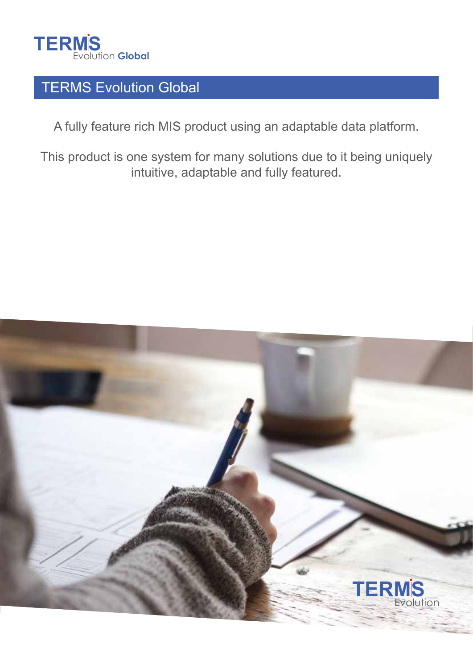

# TERMS Evolution Global

A fully feature rich MIS product using an adaptable data platform.

This product is one system for many solutions due to it being uniquely intuitive, adaptable and fully featured.

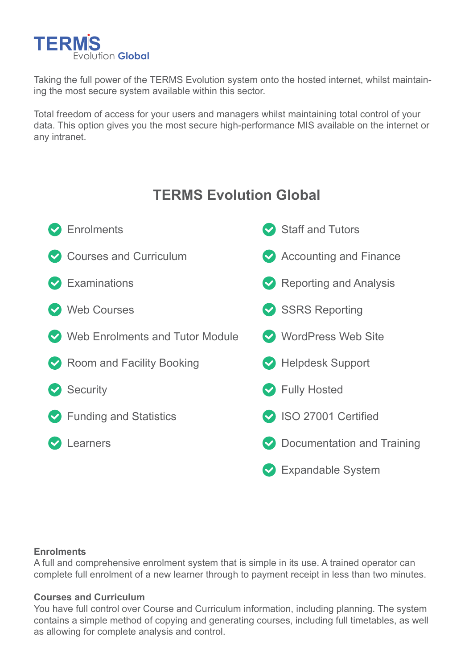

Taking the full power of the TERMS Evolution system onto the hosted internet, whilst maintaining the most secure system available within this sector.

Total freedom of access for your users and managers whilst maintaining total control of your data. This option gives you the most secure high-performance MIS available on the internet or any intranet.

# **TERMS Evolution Global**

| Enrolments                                   | Staff and Tutors             |
|----------------------------------------------|------------------------------|
| Courses and Curriculum                       | Accounting and Finance       |
| $\triangledown$ Examinations                 | Reporting and Analysis       |
| Web Courses                                  | SSRS Reporting               |
| Web Enrolments and Tutor Module              | WordPress Web Site           |
| Room and Facility Booking                    | Helpdesk Support             |
| Security                                     | Separated Fully Hosted       |
| $\blacktriangleright$ Funding and Statistics | SO 27001 Certified           |
| Learners                                     | ◆ Documentation and Training |
|                                              | <b>Expandable System</b>     |

## **Enrolments**

A full and comprehensive enrolment system that is simple in its use. A trained operator can complete full enrolment of a new learner through to payment receipt in less than two minutes.

## **Courses and Curriculum**

You have full control over Course and Curriculum information, including planning. The system contains a simple method of copying and generating courses, including full timetables, as well as allowing for complete analysis and control.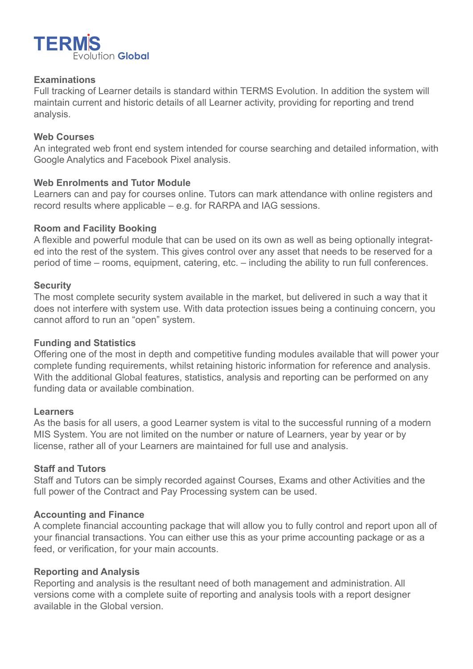

## **Examinations**

Full tracking of Learner details is standard within TERMS Evolution. In addition the system will maintain current and historic details of all Learner activity, providing for reporting and trend analysis.

### **Web Courses**

An integrated web front end system intended for course searching and detailed information, with Google Analytics and Facebook Pixel analysis.

## **Web Enrolments and Tutor Module**

Learners can and pay for courses online. Tutors can mark attendance with online registers and record results where applicable – e.g. for RARPA and IAG sessions.

### **Room and Facility Booking**

A flexible and powerful module that can be used on its own as well as being optionally integrated into the rest of the system. This gives control over any asset that needs to be reserved for a period of time – rooms, equipment, catering, etc. – including the ability to run full conferences.

### **Security**

The most complete security system available in the market, but delivered in such a way that it does not interfere with system use. With data protection issues being a continuing concern, you cannot afford to run an "open" system.

#### **Funding and Statistics**

Offering one of the most in depth and competitive funding modules available that will power your complete funding requirements, whilst retaining historic information for reference and analysis. With the additional Global features, statistics, analysis and reporting can be performed on any funding data or available combination.

#### **Learners**

As the basis for all users, a good Learner system is vital to the successful running of a modern MIS System. You are not limited on the number or nature of Learners, year by year or by license, rather all of your Learners are maintained for full use and analysis.

### **Staff and Tutors**

Staff and Tutors can be simply recorded against Courses, Exams and other Activities and the full power of the Contract and Pay Processing system can be used.

#### **Accounting and Finance**

A complete financial accounting package that will allow you to fully control and report upon all of your financial transactions. You can either use this as your prime accounting package or as a feed, or verification, for your main accounts.

## **Reporting and Analysis**

Reporting and analysis is the resultant need of both management and administration. All versions come with a complete suite of reporting and analysis tools with a report designer available in the Global version.